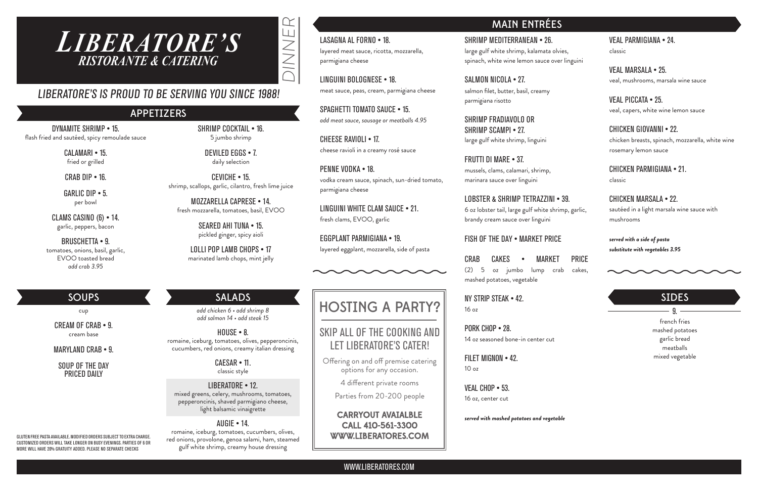DINNER

JNNE

 $\alpha$ 



WWW.LIBERATORES.COM

# LIBERATORE'S IS PROUD TO BE SERVING YOU SINCE 1988!

GLUTEN FREE PASTA AVAILABLE. MODIFIED ORDERS SUBJECT TO EXTRA CHARGE. CUSTOMIZED ORDERS WILL TAKE LONGER ON BUSY EVENINGS. PARTIES OF 6 OR MORE WILL HAVE 20% GRATUITY ADDED. PLEASE NO SEPARATE CHECKS

## SOUPS

cup

CREAM OF CRAB • 9. cream base

MARYLAND CRAB • 9.

SOUP OF THE DAY PRICED DAILY

# MAIN ENTRÉES

DYNAMITE SHRIMP • 15. flash fried and sautéed, spicy remoulade sauce

> CALAMARI • 15. fried or grilled

CRAB DIP • 16.

GARLIC DIP • 5. per bowl

CLAMS CASINO (6) • 14. garlic, peppers, bacon

BRUSCHETTA • 9. tomatoes, onions, basil, garlic, EVOO toasted bread *add crab 3.95*

SHRIMP COCKTAIL • 16. 5 jumbo shrimp

> DEVILED EGGS • 7. daily selection

CEVICHE • 15. shrimp, scallops, garlic, cilantro, fresh lime juice

MOZZARELLA CAPRESE • 14. fresh mozzarella, tomatoes, basil, EVOO

> SEARED AHI TUNA • 15. pickled ginger, spicy aioli

LOLLI POP LAMB CHOPS • 17 marinated lamb chops, mint jelly

## APPETIZERS

LASAGNA AL FORNO • 18. layered meat sauce, ricotta, mozzarella, parmigiana cheese

LINGUINI BOLOGNESE • 18. meat sauce, peas, cream, parmigiana cheese

SPAGHETTI TOMATO SAUCE • 15. *add meat sauce, sausage or meatballs 4.95*

 $HNIISE - R$ romaine, iceburg, tomatoes, olives, pepperoncinis, cucumbers, red onions, creamy italian dressing

CHEESE RAVIOLI • 17. cheese ravioli in a creamy rosé sauce

PENNE VODKA • 18. vodka cream sauce, spinach, sun-dried tomato, parmigiana cheese

LINGUINI WHITE CLAM SAUCE • 21. fresh clams, EVOO, garlic

SALMON NICOLA • 27. salmon filet, butter, basil, creamy parmigiana risotto

EGGPLANT PARMIGIANA • 19. layered eggplant, mozzarella, side of pasta



### VEAL PARMIGIANA • 24.

classic

VEAL MARSALA • 25. veal, mushrooms, marsala wine sauce

LOBSTER & SHRIMP TETRAZZINI • 39. 6 oz lobster tail, large gulf white shrimp, garlic, brandy cream sauce over linguini

VEAL PICCATA • 25. veal, capers, white wine lemon sauce

CHICKEN GIOVANNI • 22. chicken breasts, spinach, mozzarella, white wine

rosemary lemon sauce

CHICKEN PARMIGIANA • 21. classic

### CHICKEN MARSALA • 22. sautéed in a light marsala wine sauce with mushrooms

### *served with a side of pasta substitute with vegetables 3.95*

french fries mashed potatoes garlic bread meatballs mixed vegetable

### SIDES

 $-9 =$ 

# HOSTING A PARTY?

## SKIP ALL OF THE COOKING AND LET LIBERATORE'S CATER!

Offering on and off premise catering options for any occasion.

4 different private rooms

Parties from 20-200 people

CARRYOUT AVAIALBLE CALL 410-561-3300 WWW.LIBERATORES.COM

### SALADS

*add chicken 6 • add shrimp 8 add salmon 14 • add steak 15*

> CAESAR • 11. classic style

LIBERATORE • 12. mixed greens, celery, mushrooms, tomatoes, pepperoncinis, shaved parmigiano cheese, light balsamic vinaigrette

### AUGIE • 14.

romaine, iceburg, tomatoes, cucumbers, olives, red onions, provolone, genoa salami, ham, steamed gulf white shrimp, creamy house dressing

SHRIMP MEDITERRANEAN • 26. large gulf white shrimp, kalamata olvies, spinach, white wine lemon sauce over linguini

SHRIMP FRADIAVOLO OR SHRIMP SCAMPI • 27. large gulf white shrimp, linguini

FRUTTI DI MARE • 37. mussels, clams, calamari, shrimp, marinara sauce over linguini

### FISH OF THE DAY • MARKET PRICE

CRAB CAKES • MARKET PRICE (2) 5 oz jumbo lump crab cakes, mashed potatoes, vegetable

NY STRIP STEAK • 42. 16 oz

PORK CHOP • 28. 14 oz seasoned bone-in center cut

FILET MIGNON • 42. 10 oz

VEAL CHOP • 53. 16 oz, center cut

*served with mashed potatoes and vegetable*